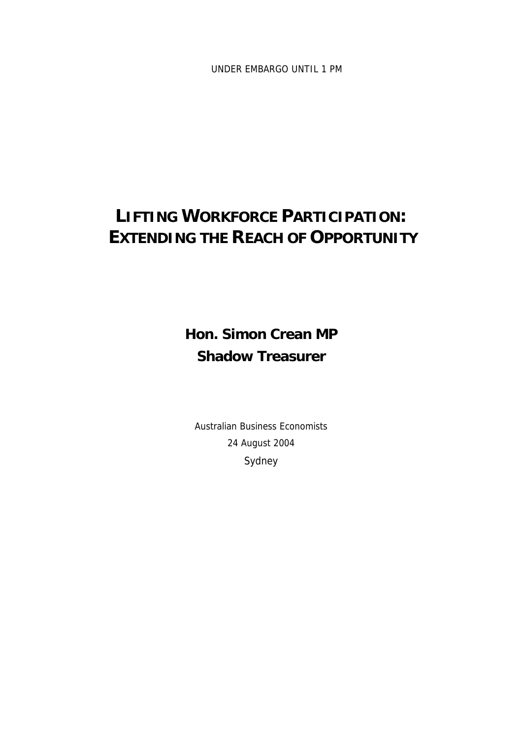UNDER EMBARGO UNTIL 1 PM

# **LIFTING WORKFORCE PARTICIPATION: EXTENDING THE REACH OF OPPORTUNITY**

**Hon. Simon Crean MP Shadow Treasurer** 

Australian Business Economists 24 August 2004 Sydney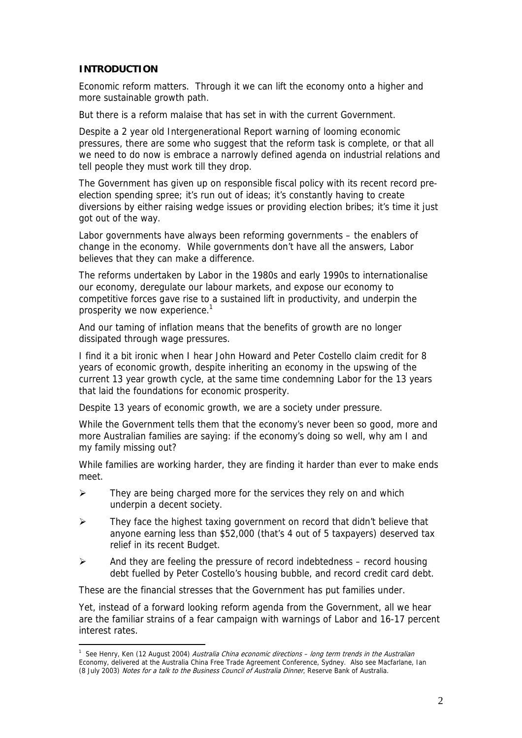# **INTRODUCTION**

 $\overline{a}$ 

Economic reform matters. Through it we can lift the economy onto a higher and more sustainable growth path.

But there is a reform malaise that has set in with the current Government.

Despite a 2 year old Intergenerational Report warning of looming economic pressures, there are some who suggest that the reform task is complete, or that all we need to do now is embrace a narrowly defined agenda on industrial relations and tell people they must work till they drop.

The Government has given up on responsible fiscal policy with its recent record preelection spending spree; it's run out of ideas; it's constantly having to create diversions by either raising wedge issues or providing election bribes; it's time it just got out of the way.

Labor governments have always been reforming governments – the enablers of change in the economy. While governments don't have all the answers, Labor believes that they can make a difference.

The reforms undertaken by Labor in the 1980s and early 1990s to internationalise our economy, deregulate our labour markets, and expose our economy to competitive forces gave rise to a sustained lift in productivity, and underpin the prosperity we now experience.<sup>1</sup>

And our taming of inflation means that the benefits of growth are no longer dissipated through wage pressures.

I find it a bit ironic when I hear John Howard and Peter Costello claim credit for 8 years of economic growth, despite inheriting an economy in the upswing of the current 13 year growth cycle, at the same time condemning Labor for the 13 years that laid the foundations for economic prosperity.

Despite 13 years of economic growth, we are a society under pressure.

While the Government tells them that the economy's never been so good, more and more Australian families are saying: if the economy's doing so well, why am I and my family missing out?

While families are working harder, they are finding it harder than ever to make ends meet.

- $\triangleright$  They are being charged more for the services they rely on and which underpin a decent society.
- ¾ They face the highest taxing government on record that didn't believe that anyone earning less than \$52,000 (that's 4 out of 5 taxpayers) deserved tax relief in its recent Budget.
- $\triangleright$  And they are feeling the pressure of record indebtedness record housing debt fuelled by Peter Costello's housing bubble, and record credit card debt.

These are the financial stresses that the Government has put families under.

Yet, instead of a forward looking reform agenda from the Government, all we hear are the familiar strains of a fear campaign with warnings of Labor and 16-17 percent interest rates.

<sup>&</sup>lt;sup>1</sup> See Henry, Ken (12 August 2004) *Australia China economic directions – long term trends in the Australian* Economy, delivered at the Australia China Free Trade Agreement Conference, Sydney. Also see Macfarlane, Ian (8 July 2003) Notes for a talk to the Business Council of Australia Dinner, Reserve Bank of Australia.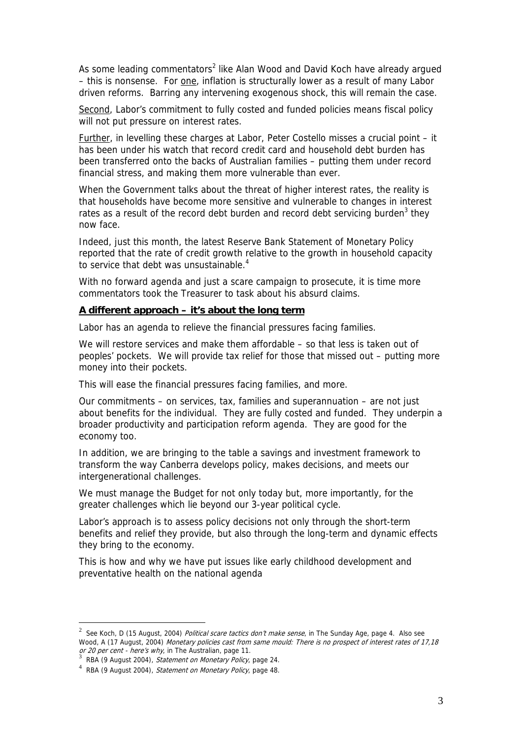As some leading commentators<sup>2</sup> like Alan Wood and David Koch have already argued – this is nonsense. For one, inflation is structurally lower as a result of many Labor driven reforms. Barring any intervening exogenous shock, this will remain the case.

Second, Labor's commitment to fully costed and funded policies means fiscal policy will not put pressure on interest rates.

Further, in levelling these charges at Labor, Peter Costello misses a crucial point – it has been under his watch that record credit card and household debt burden has been transferred onto the backs of Australian families – putting them under record financial stress, and making them more vulnerable than ever.

When the Government talks about the threat of higher interest rates, the reality is that households have become more sensitive and vulnerable to changes in interest rates as a result of the record debt burden and record debt servicing burden<sup>3</sup> they now face.

Indeed, just this month, the latest Reserve Bank Statement of Monetary Policy reported that the rate of credit growth relative to the growth in household capacity to service that debt was unsustainable.<sup>4</sup>

With no forward agenda and just a scare campaign to prosecute, it is time more commentators took the Treasurer to task about his absurd claims.

#### **A different approach – it's about the long term**

Labor has an agenda to relieve the financial pressures facing families.

We will restore services and make them affordable – so that less is taken out of peoples' pockets. We will provide tax relief for those that missed out – putting more money into their pockets.

This will ease the financial pressures facing families, and more.

Our commitments – on services, tax, families and superannuation – are not just about benefits for the individual. They are fully costed and funded. They underpin a broader productivity and participation reform agenda. They are good for the economy too.

In addition, we are bringing to the table a savings and investment framework to transform the way Canberra develops policy, makes decisions, and meets our intergenerational challenges.

We must manage the Budget for not only today but, more importantly, for the greater challenges which lie beyond our 3-year political cycle.

Labor's approach is to assess policy decisions not only through the short-term benefits and relief they provide, but also through the long-term and dynamic effects they bring to the economy.

This is how and why we have put issues like early childhood development and preventative health on the national agenda

 $\overline{a}$ 

Wood, A (17 August, 2004) *Monetary policies cast from same mould: There is no prospect of interest rates of 17,18* <sup>2</sup> See Koch, D (15 August, 2004) *Political scare tactics don't make sense*, in The Sunday Age, page 4. Also see or 20 per cent - here's why, in The Australian, page 11.<br>3 RBA (9 August 2004). *Statement on Monetary Policy*, page 24.

<sup>°</sup> RBA (9 August 2004), *Statement on Monetary Policy*, page 24.<br><sup>4</sup> RBA (9 August 2004), *Statement on Monetary Policy*, page 48.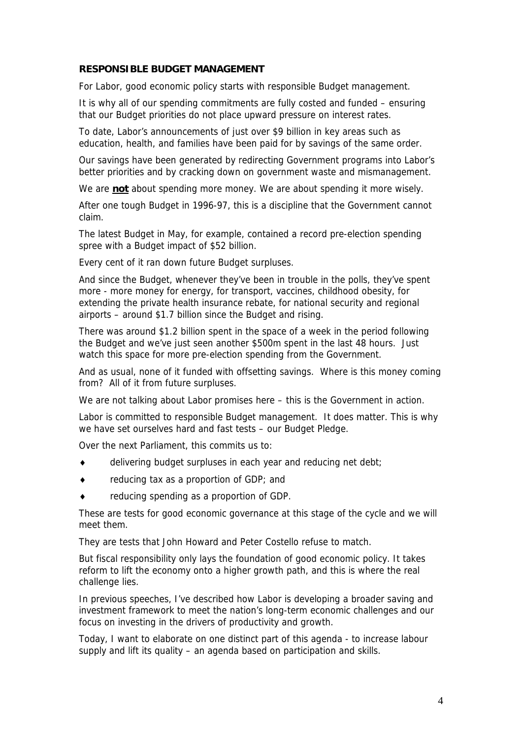# **RESPONSIBLE BUDGET MANAGEMENT**

For Labor, good economic policy starts with responsible Budget management.

It is why all of our spending commitments are fully costed and funded – ensuring that our Budget priorities do not place upward pressure on interest rates.

To date, Labor's announcements of just over \$9 billion in key areas such as education, health, and families have been paid for by savings of the same order.

Our savings have been generated by redirecting Government programs into Labor's better priorities and by cracking down on government waste and mismanagement.

We are **not** about spending more money. We are about spending it more wisely.

After one tough Budget in 1996-97, this is a discipline that the Government cannot claim.

The latest Budget in May, for example, contained a record pre-election spending spree with a Budget impact of \$52 billion.

Every cent of it ran down future Budget surpluses.

And since the Budget, whenever they've been in trouble in the polls, they've spent more - more money for energy, for transport, vaccines, childhood obesity, for extending the private health insurance rebate, for national security and regional airports – around \$1.7 billion since the Budget and rising.

There was around \$1.2 billion spent in the space of a week in the period following the Budget and we've just seen another \$500m spent in the last 48 hours. Just watch this space for more pre-election spending from the Government.

And as usual, none of it funded with offsetting savings. Where is this money coming from? All of it from future surpluses.

We are not talking about Labor promises here – this is the Government in action.

Labor is committed to responsible Budget management. It does matter. This is why we have set ourselves hard and fast tests – our Budget Pledge.

Over the next Parliament, this commits us to:

- delivering budget surpluses in each year and reducing net debt;
- ♦ reducing tax as a proportion of GDP; and
- reducing spending as a proportion of GDP.

These are tests for good economic governance at this stage of the cycle and we will meet them.

They are tests that John Howard and Peter Costello refuse to match.

But fiscal responsibility only lays the foundation of good economic policy. It takes reform to lift the economy onto a higher growth path, and this is where the real challenge lies.

In previous speeches, I've described how Labor is developing a broader saving and investment framework to meet the nation's long-term economic challenges and our focus on investing in the drivers of productivity and growth.

Today, I want to elaborate on one distinct part of this agenda - to increase labour supply and lift its quality – an agenda based on participation and skills.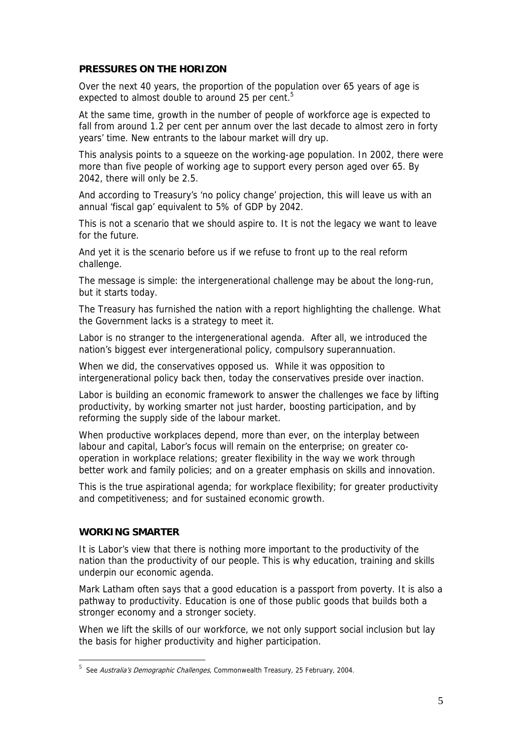## **PRESSURES ON THE HORIZON**

Over the next 40 years, the proportion of the population over 65 years of age is expected to almost double to around 25 per cent.<sup>5</sup>

At the same time, growth in the number of people of workforce age is expected to fall from around 1.2 per cent per annum over the last decade to almost zero in forty years' time. New entrants to the labour market will dry up.

This analysis points to a squeeze on the working-age population. In 2002, there were more than five people of working age to support every person aged over 65. By 2042, there will only be 2.5.

And according to Treasury's 'no policy change' projection, this will leave us with an annual 'fiscal gap' equivalent to 5% of GDP by 2042.

This is not a scenario that we should aspire to. It is not the legacy we want to leave for the future.

And yet it is the scenario before us if we refuse to front up to the real reform challenge.

The message is simple: the intergenerational challenge may be about the long-run, but it starts today.

The Treasury has furnished the nation with a report highlighting the challenge. What the Government lacks is a strategy to meet it.

Labor is no stranger to the intergenerational agenda. After all, we introduced the nation's biggest ever intergenerational policy, compulsory superannuation.

When we did, the conservatives opposed us. While it was opposition to intergenerational policy back then, today the conservatives preside over inaction.

Labor is building an economic framework to answer the challenges we face by lifting productivity, by working smarter not just harder, boosting participation, and by reforming the supply side of the labour market.

When productive workplaces depend, more than ever, on the interplay between labour and capital, Labor's focus will remain on the enterprise; on greater cooperation in workplace relations; greater flexibility in the way we work through better work and family policies; and on a greater emphasis on skills and innovation.

This is the true aspirational agenda; for workplace flexibility; for greater productivity and competitiveness; and for sustained economic growth.

### **WORKING SMARTER**

It is Labor's view that there is nothing more important to the productivity of the nation than the productivity of our people. This is why education, training and skills underpin our economic agenda.

Mark Latham often says that a good education is a passport from poverty. It is also a pathway to productivity. Education is one of those public goods that builds both a stronger economy and a stronger society.

When we lift the skills of our workforce, we not only support social inclusion but lay the basis for higher productivity and higher participation.

<sup>&</sup>lt;u>.</u><br><sup>5</sup> See *Australia's Demographic Challenges*, Commonwealth Treasury, 25 February, 2004.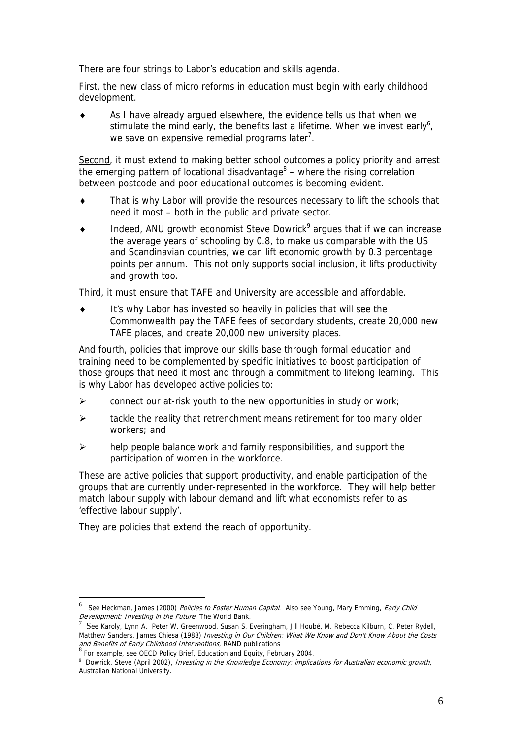There are four strings to Labor's education and skills agenda.

First, the new class of micro reforms in education must begin with early childhood development.

As I have already argued elsewhere, the evidence tells us that when we stimulate the mind early, the benefits last a lifetime. When we invest early<sup>6</sup>, we save on expensive remedial programs later<sup>7</sup>.

Second, it must extend to making better school outcomes a policy priority and arrest the emerging pattern of locational disadvantage $8$  – where the rising correlation between postcode and poor educational outcomes is becoming evident.

- ♦ That is why Labor will provide the resources necessary to lift the schools that need it most – both in the public and private sector.
- $\bullet$  Indeed, ANU growth economist Steve Dowrick<sup>9</sup> argues that if we can increase the average years of schooling by 0.8, to make us comparable with the US and Scandinavian countries, we can lift economic growth by 0.3 percentage points per annum. This not only supports social inclusion, it lifts productivity and growth too.

Third, it must ensure that TAFE and University are accessible and affordable.

♦ It's why Labor has invested so heavily in policies that will see the Commonwealth pay the TAFE fees of secondary students, create 20,000 new TAFE places, and create 20,000 new university places.

And fourth, policies that improve our skills base through formal education and training need to be complemented by specific initiatives to boost participation of those groups that need it most and through a commitment to lifelong learning. This is why Labor has developed active policies to:

- $\triangleright$  connect our at-risk youth to the new opportunities in study or work;
- $\triangleright$  tackle the reality that retrenchment means retirement for too many older workers; and
- $\triangleright$  help people balance work and family responsibilities, and support the participation of women in the workforce.

These are active policies that support productivity, and enable participation of the groups that are currently under-represented in the workforce. They will help better match labour supply with labour demand and lift what economists refer to as 'effective labour supply'.

They are policies that extend the reach of opportunity.

 $\overline{a}$ 

<sup>6</sup> See Heckman, James (2000) Policies to Foster Human Capital. Also see Young, Mary Emming, Early Child Development: Investing in the Future, The World Bank.

Matthew Sanders, James Chiesa (1988) *Investing in Our Children: What We Know and Don't Know About the Costs*  See Karoly, Lynn A. Peter W. Greenwood, Susan S. Everingham, Jill Houbé, M. Rebecca Kilburn, C. Peter Rydell, and Benefits of Early Childhood Interventions, RAND publications

 $8$  For example, see OECD Policy Brief, Education and Equity, February 2004.

Dowrick, Steve (April 2002), Investing in the Knowledge Economy: implications for Australian economic growth, Australian National University.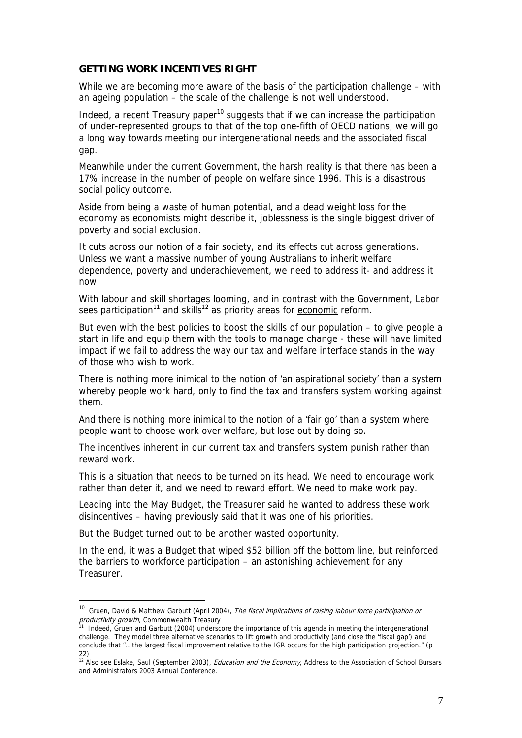#### **GETTING WORK INCENTIVES RIGHT**

While we are becoming more aware of the basis of the participation challenge – with an ageing population – the scale of the challenge is not well understood.

Indeed, a recent Treasury paper<sup>10</sup> suggests that if we can increase the participation of under-represented groups to that of the top one-fifth of OECD nations, we will go a long way towards meeting our intergenerational needs and the associated fiscal gap.

Meanwhile under the current Government, the harsh reality is that there has been a 17% increase in the number of people on welfare since 1996. This is a disastrous social policy outcome.

Aside from being a waste of human potential, and a dead weight loss for the economy as economists might describe it, joblessness is the single biggest driver of poverty and social exclusion.

It cuts across our notion of a fair society, and its effects cut across generations. Unless we want a massive number of young Australians to inherit welfare dependence, poverty and underachievement, we need to address it- and address it now.

With labour and skill shortages looming, and in contrast with the Government, Labor sees participation<sup>11</sup> and skills<sup>12</sup> as priority areas for economic reform.

But even with the best policies to boost the skills of our population – to give people a start in life and equip them with the tools to manage change - these will have limited impact if we fail to address the way our tax and welfare interface stands in the way of those who wish to work.

There is nothing more inimical to the notion of 'an aspirational society' than a system whereby people work hard, only to find the tax and transfers system working against them.

And there is nothing more inimical to the notion of a 'fair go' than a system where people want to choose work over welfare, but lose out by doing so.

The incentives inherent in our current tax and transfers system punish rather than reward work.

This is a situation that needs to be turned on its head. We need to encourage work rather than deter it, and we need to reward effort. We need to make work pay.

Leading into the May Budget, the Treasurer said he wanted to address these work disincentives – having previously said that it was one of his priorities.

But the Budget turned out to be another wasted opportunity.

 $\overline{a}$ 

In the end, it was a Budget that wiped \$52 billion off the bottom line, but reinforced the barriers to workforce participation – an astonishing achievement for any Treasurer.

 $10$  Gruen, David & Matthew Garbutt (April 2004), The fiscal implications of raising labour force participation or productivity growth, Commonwealth Treasury

<sup>&</sup>lt;sup>11</sup> Indeed, Gruen and Garbutt (2004) underscore the importance of this agenda in meeting the intergenerational challenge. They model three alternative scenarios to lift growth and productivity (and close the 'fiscal gap') and conclude that ".. the largest fiscal improvement relative to the IGR occurs for the high participation projection." (p 22)

<sup>&</sup>lt;sup>12</sup> Also see Eslake, Saul (September 2003), *Education and the Economy*, Address to the Association of School Bursars and Administrators 2003 Annual Conference.